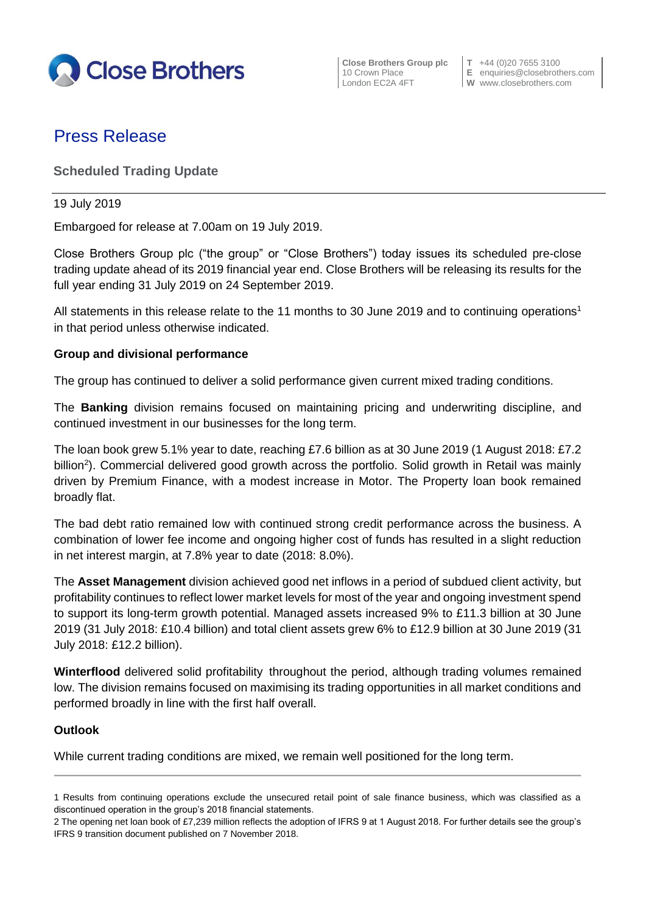

**Close Brothers Group plc**  $\begin{bmatrix} T & +44 & (0)20 & 7655 & 3100 \\ 10 & Crown \text{ Place} & E & \text{equities} & \text{E} \end{bmatrix}$ 

10 Crown Place **E** enquiries@closebrothers.com<br>
London EC2A 4FT **W** www.closebrothers.com **W** www.closebrothers.com

# Press Release

# **Scheduled Trading Update**

#### 19 July 2019

Embargoed for release at 7.00am on 19 July 2019.

Close Brothers Group plc ("the group" or "Close Brothers") today issues its scheduled pre-close trading update ahead of its 2019 financial year end. Close Brothers will be releasing its results for the full year ending 31 July 2019 on 24 September 2019.

All statements in this release relate to the 11 months to 30 June 2019 and to continuing operations<sup>1</sup> in that period unless otherwise indicated.

### **Group and divisional performance**

The group has continued to deliver a solid performance given current mixed trading conditions.

The **Banking** division remains focused on maintaining pricing and underwriting discipline, and continued investment in our businesses for the long term.

The loan book grew 5.1% year to date, reaching £7.6 billion as at 30 June 2019 (1 August 2018: £7.2 billion<sup>2</sup>). Commercial delivered good growth across the portfolio. Solid growth in Retail was mainly driven by Premium Finance, with a modest increase in Motor. The Property loan book remained broadly flat.

The bad debt ratio remained low with continued strong credit performance across the business. A combination of lower fee income and ongoing higher cost of funds has resulted in a slight reduction in net interest margin, at 7.8% year to date (2018: 8.0%).

The **Asset Management** division achieved good net inflows in a period of subdued client activity, but profitability continues to reflect lower market levels for most of the year and ongoing investment spend to support its long-term growth potential. Managed assets increased 9% to £11.3 billion at 30 June 2019 (31 July 2018: £10.4 billion) and total client assets grew 6% to £12.9 billion at 30 June 2019 (31 July 2018: £12.2 billion).

**Winterflood** delivered solid profitability throughout the period, although trading volumes remained low. The division remains focused on maximising its trading opportunities in all market conditions and performed broadly in line with the first half overall.

### **Outlook**

While current trading conditions are mixed, we remain well positioned for the long term.

<sup>1</sup> Results from continuing operations exclude the unsecured retail point of sale finance business, which was classified as a discontinued operation in the group's 2018 financial statements.

<sup>2</sup> The opening net loan book of £7,239 million reflects the adoption of IFRS 9 at 1 August 2018. For further details see the group's IFRS 9 transition document published on 7 November 2018.